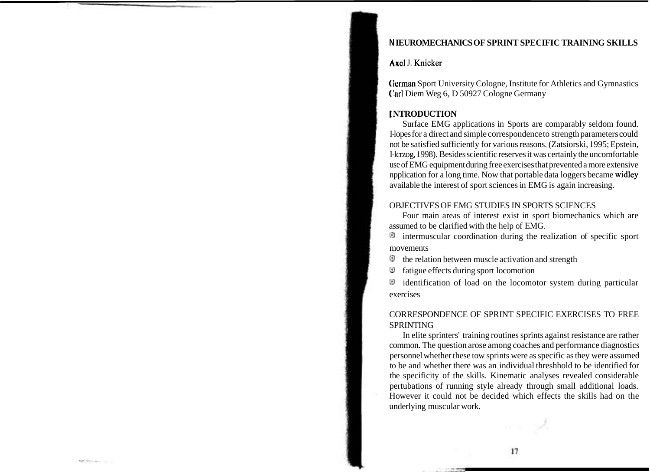### **N IEUROMECHANICS OF SPRINT SPECIFIC TRAINING SKILLS**

### Axcl J. Knicker

(lorinan Sport University Cologne, Institute for Athletics and Gymnastics ('arl Diem Weg 6, D 50927 Cologne Germany

#### **l NTRODUCTION**

Surface EMG applications in Sports are comparably seldom found. I-lopes for a direct and simple correspondence to strength parameters could not be satisfied sufficiently for various reasons. (Zatsiorski, 1995; Epstein, I-lcrzog, 1998). Besides scientific reserves it was certainly the uncomfortable use of EMG equipment during free exercises that prevented a more extensive npplication for a long time. Now that portable data loggers became widley available the interest of sport sciences in EMG is again increasing.

#### OBJECTIVES OF EMG STUDIES IN SPORTS SCIENCES

Four main areas of interest exist in sport biomechanics which are assumed to be clarified with the help of EMG.

@ intermuscular coordination during the realization of specific sport movements

the relation between muscle activation and strength O.

0 fatigue effects during sport locomotion

 $[0]$  identification of load on the locomotor system during particular exercises

#### CORRESPONDENCE OF SPRINT SPECIFIC EXERCISES TO FREE SPRINTING

In elite sprinters' training routines sprints against resistance are rather common. The question arose among coaches and performance diagnostics personnel whether these tow sprints were as specific as they were assumed to be and whether there was an individual threshhold to be identified for the specificity of the skills. Kinematic analyses revealed considerable pertubations of running style already through small additional loads. However it could not be decided which effects the skills had on the underlying muscular work.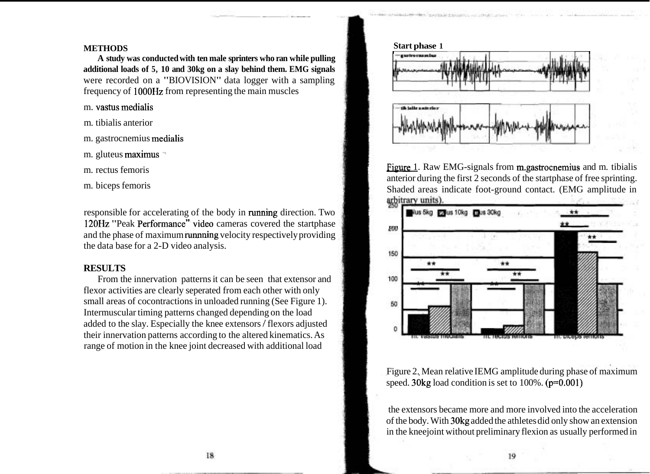### **METHODS**

**A study was conducted with ten male sprinters who ran while pulling additional loads of 5, 10 and 30kg on a slay behind them. EMG signals**  were recorded on a "BIOVISION" data logger with a sampling frequency of 1000Hz from representing the main muscles

m. vastus medialis

m. tibialis anterior

m. gastrocnemius medialis

m. gluteus maximus -

m. rectus femoris

m. biceps femoris

responsible for accelerating of the body in ruming direction. Two 120Hz "Peak Performance" video cameras covered the startphase and the phase of maximum runnning velocity respectively providing the data base for a 2-D video analysis.

## **RESULTS**

From the innervation patterns it can be seen that extensor and flexor activities are clearly seperated from each other with only small areas of cocontractions in unloaded running (See Figure 1). Intermuscular timing patterns changed depending on the load added to the slay. Especially the knee extensors / flexors adjusted their innervation patterns according to the altered kinematics. As range of motion in the knee joint decreased with additional load



Figure 1. Raw EMG-signals from m.gastrocnemius and m. tibialis anterior during the first 2 seconds of the startphase of free sprinting. Shaded areas indicate foot-ground contact. (EMG amplitude in architecture).



Figure 2. Mean relative IEMG amplitude during phase of maximum speed.  $30kg$  load condition is set to  $100\%$ . ( $p=0.001$ )

the extensors became more and more involved into the acceleration of the body. With 30kg added the athletes did only show an extension in the kneejoint without preliminary flexion as usually performed in